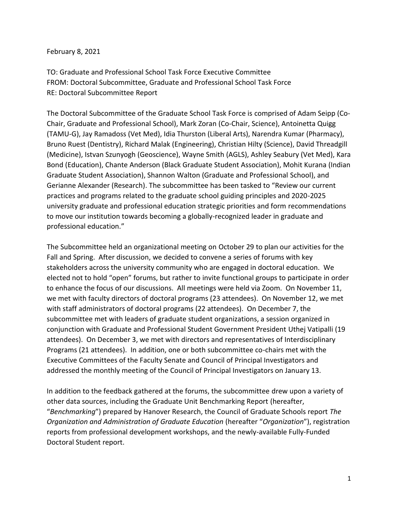## February 8, 2021

TO: Graduate and Professional School Task Force Executive Committee FROM: Doctoral Subcommittee, Graduate and Professional School Task Force RE: Doctoral Subcommittee Report

The Doctoral Subcommittee of the Graduate School Task Force is comprised of Adam Seipp (Co-Chair, Graduate and Professional School), Mark Zoran (Co-Chair, Science), Antoinetta Quigg (TAMU-G), Jay Ramadoss (Vet Med), Idia Thurston (Liberal Arts), Narendra Kumar (Pharmacy), Bruno Ruest (Dentistry), Richard Malak (Engineering), Christian Hilty (Science), David Threadgill (Medicine), Istvan Szunyogh (Geoscience), Wayne Smith (AGLS), Ashley Seabury (Vet Med), Kara Bond (Education), Chante Anderson (Black Graduate Student Association), Mohit Kurana (Indian Graduate Student Association), Shannon Walton (Graduate and Professional School), and Gerianne Alexander (Research). The subcommittee has been tasked to "Review our current practices and programs related to the graduate school guiding principles and 2020-2025 university graduate and professional education strategic priorities and form recommendations to move our institution towards becoming a globally-recognized leader in graduate and professional education."

The Subcommittee held an organizational meeting on October 29 to plan our activities for the Fall and Spring. After discussion, we decided to convene a series of forums with key stakeholders across the university community who are engaged in doctoral education. We elected not to hold "open" forums, but rather to invite functional groups to participate in order to enhance the focus of our discussions. All meetings were held via Zoom. On November 11, we met with faculty directors of doctoral programs (23 attendees). On November 12, we met with staff administrators of doctoral programs (22 attendees). On December 7, the subcommittee met with leaders of graduate student organizations, a session organized in conjunction with Graduate and Professional Student Government President Uthej Vatipalli (19 attendees). On December 3, we met with directors and representatives of Interdisciplinary Programs (21 attendees). In addition, one or both subcommittee co-chairs met with the Executive Committees of the Faculty Senate and Council of Principal Investigators and addressed the monthly meeting of the Council of Principal Investigators on January 13.

In addition to the feedback gathered at the forums, the subcommittee drew upon a variety of other data sources, including the Graduate Unit Benchmarking Report (hereafter, "*Benchmarking*") prepared by Hanover Research, the Council of Graduate Schools report *The Organization and Administration of Graduate Education* (hereafter "*Organization*"), registration reports from professional development workshops, and the newly-available Fully-Funded Doctoral Student report.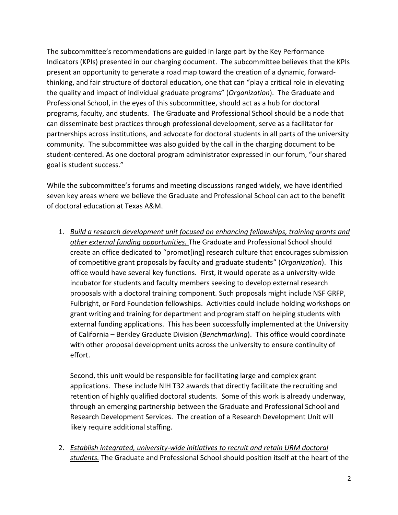The subcommittee's recommendations are guided in large part by the Key Performance Indicators (KPIs) presented in our charging document. The subcommittee believes that the KPIs present an opportunity to generate a road map toward the creation of a dynamic, forwardthinking, and fair structure of doctoral education, one that can "play a critical role in elevating the quality and impact of individual graduate programs" (*Organization*). The Graduate and Professional School, in the eyes of this subcommittee, should act as a hub for doctoral programs, faculty, and students. The Graduate and Professional School should be a node that can disseminate best practices through professional development, serve as a facilitator for partnerships across institutions, and advocate for doctoral students in all parts of the university community. The subcommittee was also guided by the call in the charging document to be student-centered. As one doctoral program administrator expressed in our forum, "our shared goal is student success."

While the subcommittee's forums and meeting discussions ranged widely, we have identified seven key areas where we believe the Graduate and Professional School can act to the benefit of doctoral education at Texas A&M.

1. *Build a research development unit focused on enhancing fellowships, training grants and other external funding opportunities.* The Graduate and Professional School should create an office dedicated to "promot[ing] research culture that encourages submission of competitive grant proposals by faculty and graduate students" (*Organization*). This office would have several key functions. First, it would operate as a university-wide incubator for students and faculty members seeking to develop external research proposals with a doctoral training component. Such proposals might include NSF GRFP, Fulbright, or Ford Foundation fellowships. Activities could include holding workshops on grant writing and training for department and program staff on helping students with external funding applications. This has been successfully implemented at the University of California – Berkley Graduate Division (*Benchmarking*). This office would coordinate with other proposal development units across the university to ensure continuity of effort.

Second, this unit would be responsible for facilitating large and complex grant applications. These include NIH T32 awards that directly facilitate the recruiting and retention of highly qualified doctoral students. Some of this work is already underway, through an emerging partnership between the Graduate and Professional School and Research Development Services. The creation of a Research Development Unit will likely require additional staffing.

2. *Establish integrated, university-wide initiatives to recruit and retain URM doctoral students.* The Graduate and Professional School should position itself at the heart of the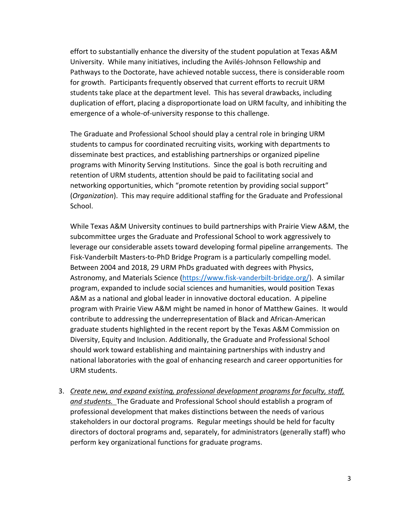effort to substantially enhance the diversity of the student population at Texas A&M University. While many initiatives, including the Avilés-Johnson Fellowship and Pathways to the Doctorate, have achieved notable success, there is considerable room for growth. Participants frequently observed that current efforts to recruit URM students take place at the department level. This has several drawbacks, including duplication of effort, placing a disproportionate load on URM faculty, and inhibiting the emergence of a whole-of-university response to this challenge.

The Graduate and Professional School should play a central role in bringing URM students to campus for coordinated recruiting visits, working with departments to disseminate best practices, and establishing partnerships or organized pipeline programs with Minority Serving Institutions. Since the goal is both recruiting and retention of URM students, attention should be paid to facilitating social and networking opportunities, which "promote retention by providing social support" (*Organization*). This may require additional staffing for the Graduate and Professional School.

While Texas A&M University continues to build partnerships with Prairie View A&M, the subcommittee urges the Graduate and Professional School to work aggressively to leverage our considerable assets toward developing formal pipeline arrangements. The Fisk-Vanderbilt Masters-to-PhD Bridge Program is a particularly compelling model. Between 2004 and 2018, 29 URM PhDs graduated with degrees with Physics, Astronomy, and Materials Science [\(https://www.fisk-vanderbilt-bridge.org/\)](https://www.fisk-vanderbilt-bridge.org/). A similar program, expanded to include social sciences and humanities, would position Texas A&M as a national and global leader in innovative doctoral education. A pipeline program with Prairie View A&M might be named in honor of Matthew Gaines. It would contribute to addressing the underrepresentation of Black and African-American graduate students highlighted in the recent report by the Texas A&M Commission on Diversity, Equity and Inclusion. Additionally, the Graduate and Professional School should work toward establishing and maintaining partnerships with industry and national laboratories with the goal of enhancing research and career opportunities for URM students.

3. *Create new, and expand existing, professional development programs for faculty, staff, and students.* The Graduate and Professional School should establish a program of professional development that makes distinctions between the needs of various stakeholders in our doctoral programs. Regular meetings should be held for faculty directors of doctoral programs and, separately, for administrators (generally staff) who perform key organizational functions for graduate programs.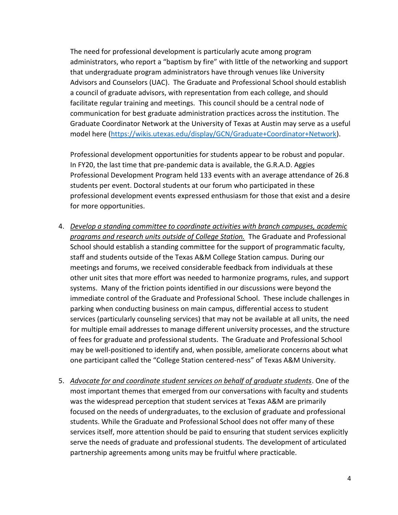The need for professional development is particularly acute among program administrators, who report a "baptism by fire" with little of the networking and support that undergraduate program administrators have through venues like University Advisors and Counselors (UAC). The Graduate and Professional School should establish a council of graduate advisors, with representation from each college, and should facilitate regular training and meetings. This council should be a central node of communication for best graduate administration practices across the institution. The Graduate Coordinator Network at the University of Texas at Austin may serve as a useful model here [\(https://wikis.utexas.edu/display/GCN/Graduate+Coordinator+Network\)](https://wikis.utexas.edu/display/GCN/Graduate+Coordinator+Network).

Professional development opportunities for students appear to be robust and popular. In FY20, the last time that pre-pandemic data is available, the G.R.A.D. Aggies Professional Development Program held 133 events with an average attendance of 26.8 students per event. Doctoral students at our forum who participated in these professional development events expressed enthusiasm for those that exist and a desire for more opportunities.

- 4. *Develop a standing committee to coordinate activities with branch campuses, academic programs and research units outside of College Station.* The Graduate and Professional School should establish a standing committee for the support of programmatic faculty, staff and students outside of the Texas A&M College Station campus. During our meetings and forums, we received considerable feedback from individuals at these other unit sites that more effort was needed to harmonize programs, rules, and support systems. Many of the friction points identified in our discussions were beyond the immediate control of the Graduate and Professional School. These include challenges in parking when conducting business on main campus, differential access to student services (particularly counseling services) that may not be available at all units, the need for multiple email addresses to manage different university processes, and the structure of fees for graduate and professional students. The Graduate and Professional School may be well-positioned to identify and, when possible, ameliorate concerns about what one participant called the "College Station centered-ness" of Texas A&M University.
- 5. *Advocate for and coordinate student services on behalf of graduate students*. One of the most important themes that emerged from our conversations with faculty and students was the widespread perception that student services at Texas A&M are primarily focused on the needs of undergraduates, to the exclusion of graduate and professional students. While the Graduate and Professional School does not offer many of these services itself, more attention should be paid to ensuring that student services explicitly serve the needs of graduate and professional students. The development of articulated partnership agreements among units may be fruitful where practicable.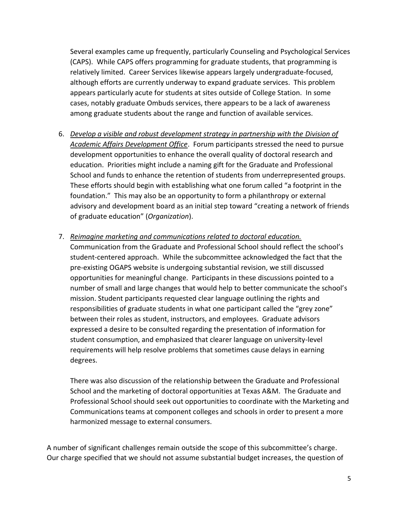Several examples came up frequently, particularly Counseling and Psychological Services (CAPS). While CAPS offers programming for graduate students, that programming is relatively limited. Career Services likewise appears largely undergraduate-focused, although efforts are currently underway to expand graduate services. This problem appears particularly acute for students at sites outside of College Station. In some cases, notably graduate Ombuds services, there appears to be a lack of awareness among graduate students about the range and function of available services.

- 6. *Develop a visible and robust development strategy in partnership with the Division of Academic Affairs Development Office*. Forum participants stressed the need to pursue development opportunities to enhance the overall quality of doctoral research and education. Priorities might include a naming gift for the Graduate and Professional School and funds to enhance the retention of students from underrepresented groups. These efforts should begin with establishing what one forum called "a footprint in the foundation." This may also be an opportunity to form a philanthropy or external advisory and development board as an initial step toward "creating a network of friends of graduate education" (*Organization*).
- 7. *Reimagine marketing and communications related to doctoral education.* Communication from the Graduate and Professional School should reflect the school's student-centered approach. While the subcommittee acknowledged the fact that the pre-existing OGAPS website is undergoing substantial revision, we still discussed opportunities for meaningful change. Participants in these discussions pointed to a number of small and large changes that would help to better communicate the school's mission. Student participants requested clear language outlining the rights and responsibilities of graduate students in what one participant called the "grey zone" between their roles as student, instructors, and employees. Graduate advisors expressed a desire to be consulted regarding the presentation of information for student consumption, and emphasized that clearer language on university-level requirements will help resolve problems that sometimes cause delays in earning degrees.

There was also discussion of the relationship between the Graduate and Professional School and the marketing of doctoral opportunities at Texas A&M. The Graduate and Professional School should seek out opportunities to coordinate with the Marketing and Communications teams at component colleges and schools in order to present a more harmonized message to external consumers.

A number of significant challenges remain outside the scope of this subcommittee's charge. Our charge specified that we should not assume substantial budget increases, the question of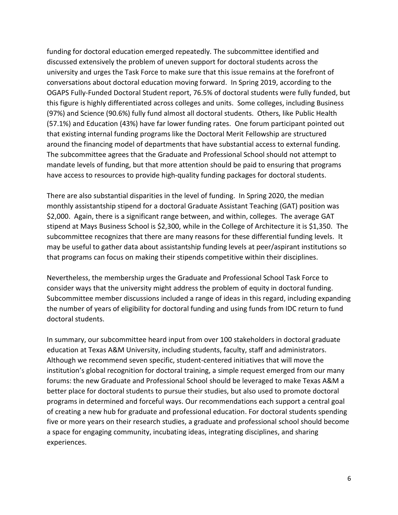funding for doctoral education emerged repeatedly. The subcommittee identified and discussed extensively the problem of uneven support for doctoral students across the university and urges the Task Force to make sure that this issue remains at the forefront of conversations about doctoral education moving forward. In Spring 2019, according to the OGAPS Fully-Funded Doctoral Student report, 76.5% of doctoral students were fully funded, but this figure is highly differentiated across colleges and units. Some colleges, including Business (97%) and Science (90.6%) fully fund almost all doctoral students. Others, like Public Health (57.1%) and Education (43%) have far lower funding rates. One forum participant pointed out that existing internal funding programs like the Doctoral Merit Fellowship are structured around the financing model of departments that have substantial access to external funding. The subcommittee agrees that the Graduate and Professional School should not attempt to mandate levels of funding, but that more attention should be paid to ensuring that programs have access to resources to provide high-quality funding packages for doctoral students.

There are also substantial disparities in the level of funding. In Spring 2020, the median monthly assistantship stipend for a doctoral Graduate Assistant Teaching (GAT) position was \$2,000. Again, there is a significant range between, and within, colleges. The average GAT stipend at Mays Business School is \$2,300, while in the College of Architecture it is \$1,350. The subcommittee recognizes that there are many reasons for these differential funding levels. It may be useful to gather data about assistantship funding levels at peer/aspirant institutions so that programs can focus on making their stipends competitive within their disciplines.

Nevertheless, the membership urges the Graduate and Professional School Task Force to consider ways that the university might address the problem of equity in doctoral funding. Subcommittee member discussions included a range of ideas in this regard, including expanding the number of years of eligibility for doctoral funding and using funds from IDC return to fund doctoral students.

In summary, our subcommittee heard input from over 100 stakeholders in doctoral graduate education at Texas A&M University, including students, faculty, staff and administrators. Although we recommend seven specific, student-centered initiatives that will move the institution's global recognition for doctoral training, a simple request emerged from our many forums: the new Graduate and Professional School should be leveraged to make Texas A&M a better place for doctoral students to pursue their studies, but also used to promote doctoral programs in determined and forceful ways. Our recommendations each support a central goal of creating a new hub for graduate and professional education. For doctoral students spending five or more years on their research studies, a graduate and professional school should become a space for engaging community, incubating ideas, integrating disciplines, and sharing experiences.